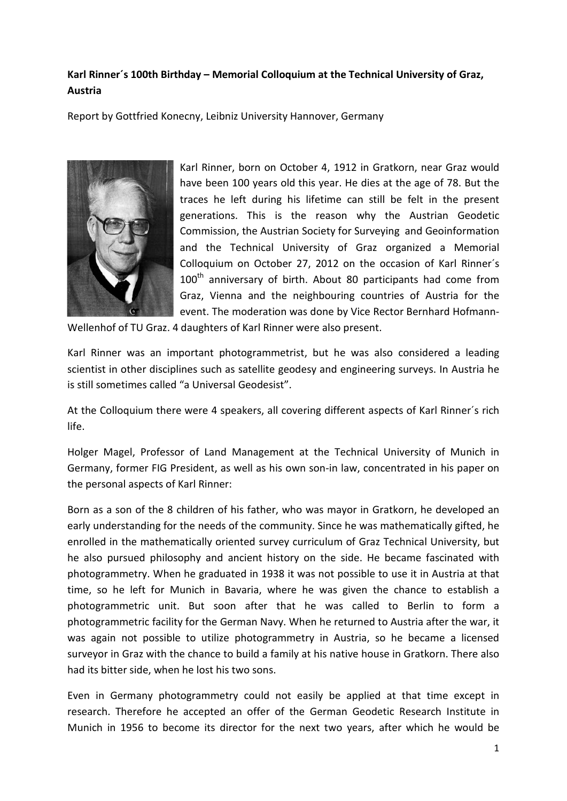## **Karl Rinner´s 100th Birthday – Memorial Colloquium at the Technical University of Graz, Austria**

Report by Gottfried Konecny, Leibniz University Hannover, Germany



Karl Rinner, born on October 4, 1912 in Gratkorn, near Graz would have been 100 years old this year. He dies at the age of 78. But the traces he left during his lifetime can still be felt in the present generations. This is the reason why the Austrian Geodetic Commission, the Austrian Society for Surveying and Geoinformation and the Technical University of Graz organized a Memorial Colloquium on October 27, 2012 on the occasion of Karl Rinner´s  $100<sup>th</sup>$  anniversary of birth. About 80 participants had come from Graz, Vienna and the neighbouring countries of Austria for the event. The moderation was done by Vice Rector Bernhard Hofmann-

Wellenhof of TU Graz. 4 daughters of Karl Rinner were also present.

Karl Rinner was an important photogrammetrist, but he was also considered a leading scientist in other disciplines such as satellite geodesy and engineering surveys. In Austria he is still sometimes called "a Universal Geodesist".

At the Colloquium there were 4 speakers, all covering different aspects of Karl Rinner´s rich life.

Holger Magel, Professor of Land Management at the Technical University of Munich in Germany, former FIG President, as well as his own son-in law, concentrated in his paper on the personal aspects of Karl Rinner:

Born as a son of the 8 children of his father, who was mayor in Gratkorn, he developed an early understanding for the needs of the community. Since he was mathematically gifted, he enrolled in the mathematically oriented survey curriculum of Graz Technical University, but he also pursued philosophy and ancient history on the side. He became fascinated with photogrammetry. When he graduated in 1938 it was not possible to use it in Austria at that time, so he left for Munich in Bavaria, where he was given the chance to establish a photogrammetric unit. But soon after that he was called to Berlin to form a photogrammetric facility for the German Navy. When he returned to Austria after the war, it was again not possible to utilize photogrammetry in Austria, so he became a licensed surveyor in Graz with the chance to build a family at his native house in Gratkorn. There also had its bitter side, when he lost his two sons.

Even in Germany photogrammetry could not easily be applied at that time except in research. Therefore he accepted an offer of the German Geodetic Research Institute in Munich in 1956 to become its director for the next two years, after which he would be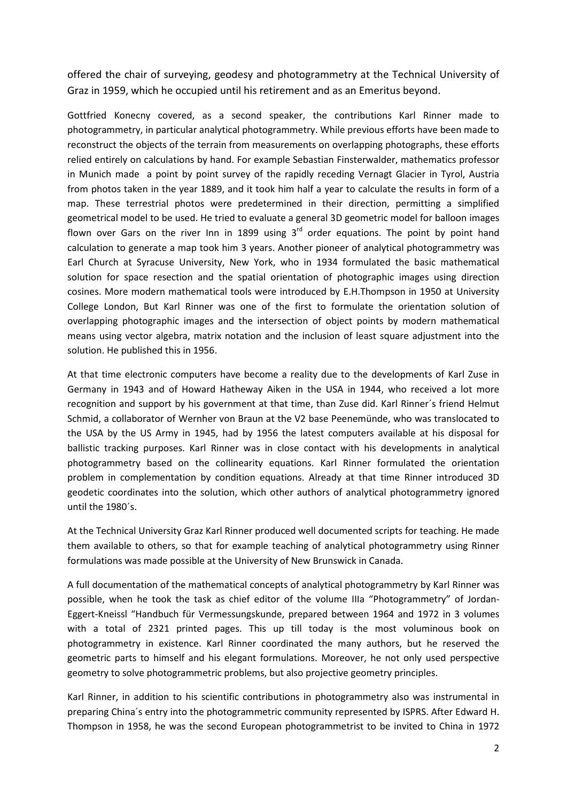offered the chair of surveying, geodesy and photogrammetry at the Technical University of Graz in 1959, which he occupied until his retirement and as an Emeritus beyond.

Gottfried Konecny covered, as a second speaker, the contributions Karl Rinner made to photogrammetry, in particular analytical photogrammetry. While previous efforts have been made to reconstruct the objects of the terrain from measurements on overlapping photographs, these efforts relied entirely on calculations by hand. For example Sebastian Finsterwalder, mathematics professor in Munich made a point by point survey of the rapidly receding Vernagt Glacier in Tyrol, Austria from photos taken in the year 1889, and it took him half a year to calculate the results in form of a map. These terrestrial photos were predetermined in their direction, permitting a simplified geometrical model to be used. He tried to evaluate a general 3D geometric model for balloon images flown over Gars on the river Inn in 1899 using  $3<sup>rd</sup>$  order equations. The point by point hand calculation to generate a map took him 3 years. Another pioneer of analytical photogrammetry was Earl Church at Syracuse University, New York, who in 1934 formulated the basic mathematical solution for space resection and the spatial orientation of photographic images using direction cosines. More modern mathematical tools were introduced by E.H.Thompson in 1950 at University College London, But Karl Rinner was one of the first to formulate the orientation solution of overlapping photographic images and the intersection of object points by modern mathematical means using vector algebra, matrix notation and the inclusion of least square adjustment into the solution. He published this in 1956.

At that time electronic computers have become a reality due to the developments of Karl Zuse in Germany in 1943 and of Howard Hatheway Aiken in the USA in 1944, who received a lot more recognition and support by his government at that time, than Zuse did. Karl Rinner´s friend Helmut Schmid, a collaborator of Wernher von Braun at the V2 base Peenemünde, who was translocated to the USA by the US Army in 1945, had by 1956 the latest computers available at his disposal for ballistic tracking purposes. Karl Rinner was in close contact with his developments in analytical photogrammetry based on the collinearity equations. Karl Rinner formulated the orientation problem in complementation by condition equations. Already at that time Rinner introduced 3D geodetic coordinates into the solution, which other authors of analytical photogrammetry ignored until the 1980´s.

At the Technical University Graz Karl Rinner produced well documented scripts for teaching. He made them available to others, so that for example teaching of analytical photogrammetry using Rinner formulations was made possible at the University of New Brunswick in Canada.

A full documentation of the mathematical concepts of analytical photogrammetry by Karl Rinner was possible, when he took the task as chief editor of the volume IIIa "Photogrammetry" of Jordan-Eggert-Kneissl "Handbuch für Vermessungskunde, prepared between 1964 and 1972 in 3 volumes with a total of 2321 printed pages. This up till today is the most voluminous book on photogrammetry in existence. Karl Rinner coordinated the many authors, but he reserved the geometric parts to himself and his elegant formulations. Moreover, he not only used perspective geometry to solve photogrammetric problems, but also projective geometry principles.

Karl Rinner, in addition to his scientific contributions in photogrammetry also was instrumental in preparing China´s entry into the photogrammetric community represented by ISPRS. After Edward H. Thompson in 1958, he was the second European photogrammetrist to be invited to China in 1972